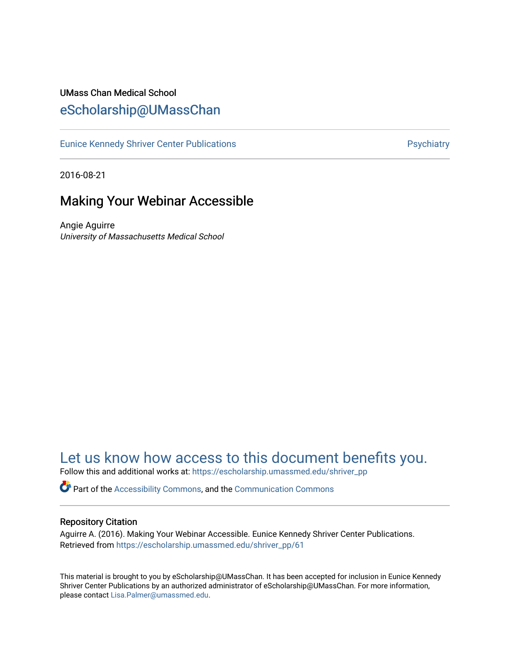# UMass Chan Medical School [eScholarship@UMassChan](https://escholarship.umassmed.edu/)

[Eunice Kennedy Shriver Center Publications](https://escholarship.umassmed.edu/shriver_pp) **Properties Access Properties Access** Psychiatry

2016-08-21

# Making Your Webinar Accessible

Angie Aguirre University of Massachusetts Medical School

# [Let us know how access to this document benefits you.](https://arcsapps.umassmed.edu/redcap/surveys/?s=XWRHNF9EJE)

Follow this and additional works at: [https://escholarship.umassmed.edu/shriver\\_pp](https://escholarship.umassmed.edu/shriver_pp?utm_source=escholarship.umassmed.edu%2Fshriver_pp%2F61&utm_medium=PDF&utm_campaign=PDFCoverPages)

Part of the [Accessibility Commons,](http://network.bepress.com/hgg/discipline/1318?utm_source=escholarship.umassmed.edu%2Fshriver_pp%2F61&utm_medium=PDF&utm_campaign=PDFCoverPages) and the [Communication Commons](http://network.bepress.com/hgg/discipline/325?utm_source=escholarship.umassmed.edu%2Fshriver_pp%2F61&utm_medium=PDF&utm_campaign=PDFCoverPages)

#### Repository Citation

Aguirre A. (2016). Making Your Webinar Accessible. Eunice Kennedy Shriver Center Publications. Retrieved from [https://escholarship.umassmed.edu/shriver\\_pp/61](https://escholarship.umassmed.edu/shriver_pp/61?utm_source=escholarship.umassmed.edu%2Fshriver_pp%2F61&utm_medium=PDF&utm_campaign=PDFCoverPages)

This material is brought to you by eScholarship@UMassChan. It has been accepted for inclusion in Eunice Kennedy Shriver Center Publications by an authorized administrator of eScholarship@UMassChan. For more information, please contact [Lisa.Palmer@umassmed.edu](mailto:Lisa.Palmer@umassmed.edu).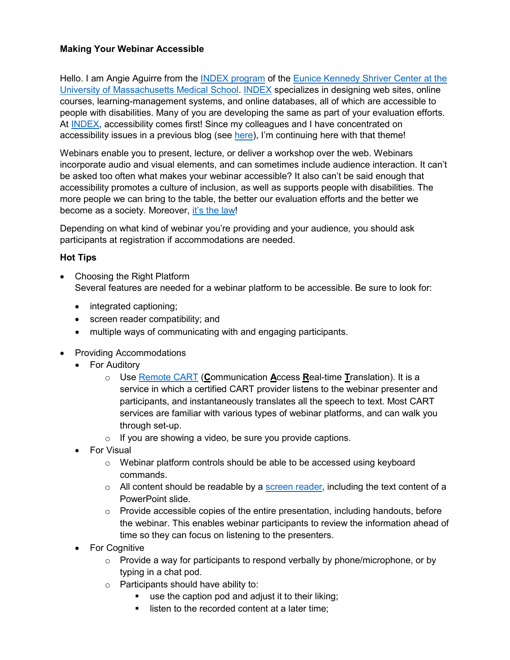## **Making Your Webinar Accessible**

Hello. I am Angie Aguirre from the [INDEX program](https://neindex.org/) of the Eunice Kennedy Shriver Center at the [University of Massachusetts Medical School.](http://shriver.umassmed.edu/) [INDEX](https://neindex.org/) specializes in designing web sites, online courses, learning-management systems, and online databases, all of which are accessible to people with disabilities. Many of you are developing the same as part of your evaluation efforts. At [INDEX,](https://neindex.org/) accessibility comes first! Since my colleagues and I have concentrated on accessibility issues in a previous blog (see [here\)](http://aea365.org/blog/2-for-1-week-emily-lauer-and-courtney-dutra-on-using-plain-language-in-evaluation/), I'm continuing here with that theme!

Webinars enable you to present, lecture, or deliver a workshop over the web. Webinars incorporate audio and visual elements, and can sometimes include audience interaction. It can't be asked too often what makes your webinar accessible? It also can't be said enough that accessibility promotes a culture of inclusion, as well as supports people with disabilities. The more people we can bring to the table, the better our evaluation efforts and the better we become as a society. Moreover, [it's the law!](https://www.ada.gov/cguide.htm#anchor65610)

Depending on what kind of webinar you're providing and your audience, you should ask participants at registration if accommodations are needed.

## **Hot Tips**

- Choosing the Right Platform Several features are needed for a webinar platform to be accessible. Be sure to look for:
	- integrated captioning;
	- screen reader compatibility; and
	- multiple ways of communicating with and engaging participants.
- Providing Accommodations
	- For Auditory
		- o Use [Remote CART](http://www.ncra.org/Membership/content.cfm?ItemNumber=9118&navItemNumber=11457) (**C**ommunication **A**ccess **R**eal-time **T**ranslation). It is a service in which a certified CART provider listens to the webinar presenter and participants, and instantaneously translates all the speech to text. Most CART services are familiar with various types of webinar platforms, and can walk you through set-up.
		- $\circ$  If you are showing a video, be sure you provide captions.
	- For Visual
		- o Webinar platform controls should be able to be accessed using keyboard commands.
		- $\circ$  All content should be readable by a [screen reader,](https://en.wikipedia.org/wiki/Screen_reader) including the text content of a PowerPoint slide.
		- $\circ$  Provide accessible copies of the entire presentation, including handouts, before the webinar. This enables webinar participants to review the information ahead of time so they can focus on listening to the presenters.
	- For Cognitive
		- $\circ$  Provide a way for participants to respond verbally by phone/microphone, or by typing in a chat pod.
		- $\circ$  Participants should have ability to:
			- use the caption pod and adjust it to their liking;
			- listen to the recorded content at a later time: